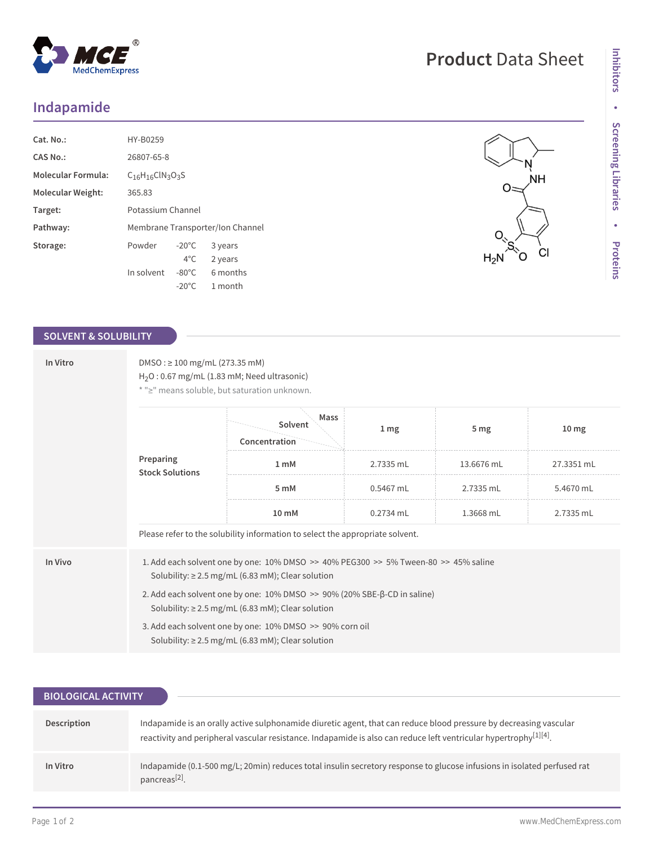## **Indapamide**

| Cat. No.:                 | HY-B0259                         |                 |          |
|---------------------------|----------------------------------|-----------------|----------|
| CAS No.:                  | 26807-65-8                       |                 |          |
| <b>Molecular Formula:</b> | $C16H16ClN3O3S$                  |                 |          |
| Molecular Weight:         | 365.83                           |                 |          |
| Target:                   | Potassium Channel                |                 |          |
| Pathway:                  | Membrane Transporter/Ion Channel |                 |          |
| Storage:                  | Powder                           | $-20^{\circ}$ C | 3 years  |
|                           |                                  | $4^{\circ}$ C   | 2 years  |
|                           | In solvent                       | $-80^{\circ}$ C | 6 months |
|                           |                                  | $-20^{\circ}$ C | 1 month  |

 $^{\circledR}$ 

MedChemExpress

## **SOLVENT & SOLUBILITY**

| In Vitro | $DMSO: \geq 100$ mg/mL (273.35 mM)<br>$H2O: 0.67 mg/mL (1.83 mM; Need ultrasonic)$<br>* ">" means soluble, but saturation unknown.                                                                                                                                                                                                                                                                                      |                                  |           |                 |                  |  |
|----------|-------------------------------------------------------------------------------------------------------------------------------------------------------------------------------------------------------------------------------------------------------------------------------------------------------------------------------------------------------------------------------------------------------------------------|----------------------------------|-----------|-----------------|------------------|--|
|          | Preparing<br><b>Stock Solutions</b>                                                                                                                                                                                                                                                                                                                                                                                     | Mass<br>Solvent<br>Concentration | 1 mg      | 5 <sub>mg</sub> | 10 <sub>mg</sub> |  |
|          |                                                                                                                                                                                                                                                                                                                                                                                                                         | 1 <sub>mM</sub>                  | 2.7335 mL | 13.6676 mL      | 27.3351 mL       |  |
|          |                                                                                                                                                                                                                                                                                                                                                                                                                         | 5 mM                             | 0.5467 mL | 2.7335 mL       | 5.4670 mL        |  |
|          |                                                                                                                                                                                                                                                                                                                                                                                                                         | 10 mM                            | 0.2734 mL | 1.3668 mL       | 2.7335 mL        |  |
|          | Please refer to the solubility information to select the appropriate solvent.                                                                                                                                                                                                                                                                                                                                           |                                  |           |                 |                  |  |
| In Vivo  | 1. Add each solvent one by one: 10% DMSO >> 40% PEG300 >> 5% Tween-80 >> 45% saline<br>Solubility: $\geq$ 2.5 mg/mL (6.83 mM); Clear solution<br>2. Add each solvent one by one: $10\%$ DMSO $\gg$ 90% (20% SBE- $\beta$ -CD in saline)<br>Solubility: $\geq$ 2.5 mg/mL (6.83 mM); Clear solution<br>3. Add each solvent one by one: 10% DMSO >> 90% corn oil<br>Solubility: $\geq$ 2.5 mg/mL (6.83 mM); Clear solution |                                  |           |                 |                  |  |

| <b>BIOLOGICAL ACTIVITY</b> |                                                                                                                                                                                                                                                    |
|----------------------------|----------------------------------------------------------------------------------------------------------------------------------------------------------------------------------------------------------------------------------------------------|
| Description                | Indapamide is an orally active sulphonamide diuretic agent, that can reduce blood pressure by decreasing vascular<br>reactivity and peripheral vascular resistance. Indapamide is also can reduce left ventricular hypertrophy <sup>[1][4]</sup> . |
| In Vitro                   | Indapamide (0.1-500 mg/L; 20min) reduces total insulin secretory response to glucose infusions in isolated perfused rat<br>pancreas <sup>[2]</sup> .                                                                                               |

 $O =$ 

 $H_2N$ 

ŅΗ

 $C<sub>1</sub>$ 

Ò